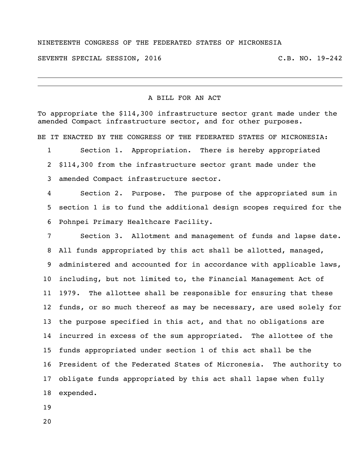## NINETEENTH CONGRESS OF THE FEDERATED STATES OF MICRONESIA

SEVENTH SPECIAL SESSION, 2016 C.B. NO. 19-242

## A BILL FOR AN ACT

To appropriate the \$114,300 infrastructure sector grant made under the amended Compact infrastructure sector, and for other purposes.

BE IT ENACTED BY THE CONGRESS OF THE FEDERATED STATES OF MICRONESIA:

 Section 1. Appropriation. There is hereby appropriated \$114,300 from the infrastructure sector grant made under the amended Compact infrastructure sector.

 Section 2. Purpose. The purpose of the appropriated sum in section 1 is to fund the additional design scopes required for the Pohnpei Primary Healthcare Facility.

 Section 3. Allotment and management of funds and lapse date. All funds appropriated by this act shall be allotted, managed, 9 administered and accounted for in accordance with applicable laws, including, but not limited to, the Financial Management Act of 1979. The allottee shall be responsible for ensuring that these funds, or so much thereof as may be necessary, are used solely for the purpose specified in this act, and that no obligations are incurred in excess of the sum appropriated. The allottee of the funds appropriated under section 1 of this act shall be the President of the Federated States of Micronesia. The authority to obligate funds appropriated by this act shall lapse when fully expended.